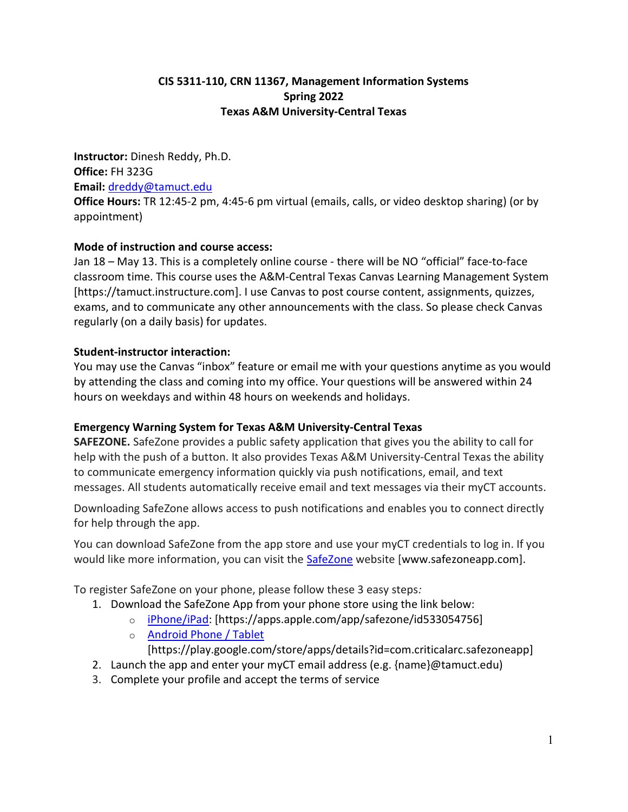## CIS 5311-110, CRN 11367, Management Information Systems Spring 2022 Texas A&M University-Central Texas

Instructor: Dinesh Reddy, Ph.D. Office: FH 323G Email: dreddy@tamuct.edu Office Hours: TR 12:45-2 pm, 4:45-6 pm virtual (emails, calls, or video desktop sharing) (or by appointment)

## Mode of instruction and course access:

Jan 18 – May 13. This is a completely online course - there will be NO "official" face-to-face classroom time. This course uses the A&M-Central Texas Canvas Learning Management System [https://tamuct.instructure.com]. I use Canvas to post course content, assignments, quizzes, exams, and to communicate any other announcements with the class. So please check Canvas regularly (on a daily basis) for updates.

## Student-instructor interaction:

You may use the Canvas "inbox" feature or email me with your questions anytime as you would by attending the class and coming into my office. Your questions will be answered within 24 hours on weekdays and within 48 hours on weekends and holidays.

# Emergency Warning System for Texas A&M University-Central Texas

SAFEZONE. SafeZone provides a public safety application that gives you the ability to call for help with the push of a button. It also provides Texas A&M University-Central Texas the ability to communicate emergency information quickly via push notifications, email, and text messages. All students automatically receive email and text messages via their myCT accounts.

Downloading SafeZone allows access to push notifications and enables you to connect directly for help through the app.

You can download SafeZone from the app store and use your myCT credentials to log in. If you would like more information, you can visit the SafeZone website [www.safezoneapp.com].

To register SafeZone on your phone, please follow these 3 easy steps:

- 1. Download the SafeZone App from your phone store using the link below:
	- o iPhone/iPad: [https://apps.apple.com/app/safezone/id533054756]
	- o Android Phone / Tablet

[https://play.google.com/store/apps/details?id=com.criticalarc.safezoneapp]

- 2. Launch the app and enter your myCT email address (e.g. {name}@tamuct.edu)
- 3. Complete your profile and accept the terms of service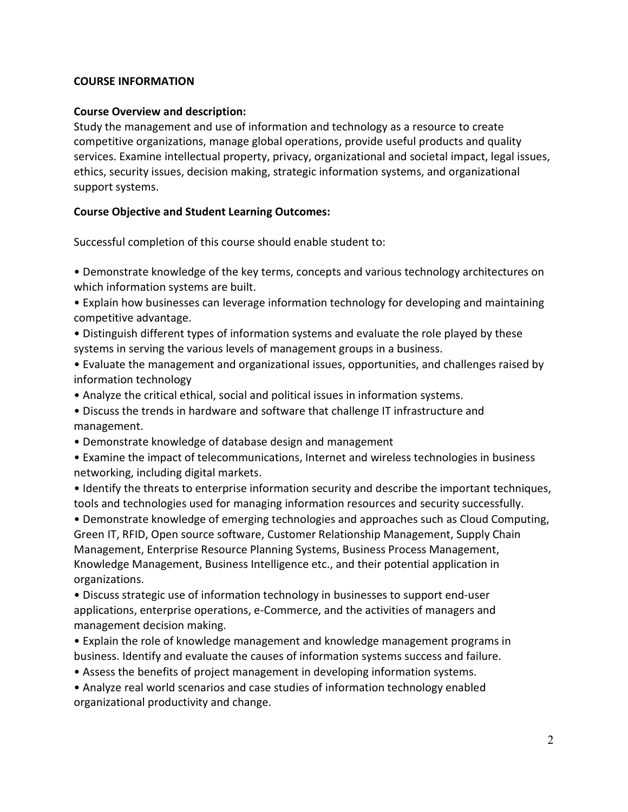### COURSE INFORMATION

### Course Overview and description:

Study the management and use of information and technology as a resource to create competitive organizations, manage global operations, provide useful products and quality services. Examine intellectual property, privacy, organizational and societal impact, legal issues, ethics, security issues, decision making, strategic information systems, and organizational support systems.

### Course Objective and Student Learning Outcomes:

Successful completion of this course should enable student to:

• Demonstrate knowledge of the key terms, concepts and various technology architectures on which information systems are built.

• Explain how businesses can leverage information technology for developing and maintaining competitive advantage.

• Distinguish different types of information systems and evaluate the role played by these systems in serving the various levels of management groups in a business.

• Evaluate the management and organizational issues, opportunities, and challenges raised by information technology

• Analyze the critical ethical, social and political issues in information systems.

• Discuss the trends in hardware and software that challenge IT infrastructure and management.

• Demonstrate knowledge of database design and management

• Examine the impact of telecommunications, Internet and wireless technologies in business networking, including digital markets.

• Identify the threats to enterprise information security and describe the important techniques, tools and technologies used for managing information resources and security successfully.

• Demonstrate knowledge of emerging technologies and approaches such as Cloud Computing, Green IT, RFID, Open source software, Customer Relationship Management, Supply Chain Management, Enterprise Resource Planning Systems, Business Process Management, Knowledge Management, Business Intelligence etc., and their potential application in organizations.

• Discuss strategic use of information technology in businesses to support end-user applications, enterprise operations, e-Commerce, and the activities of managers and management decision making.

• Explain the role of knowledge management and knowledge management programs in business. Identify and evaluate the causes of information systems success and failure.

• Assess the benefits of project management in developing information systems.

• Analyze real world scenarios and case studies of information technology enabled organizational productivity and change.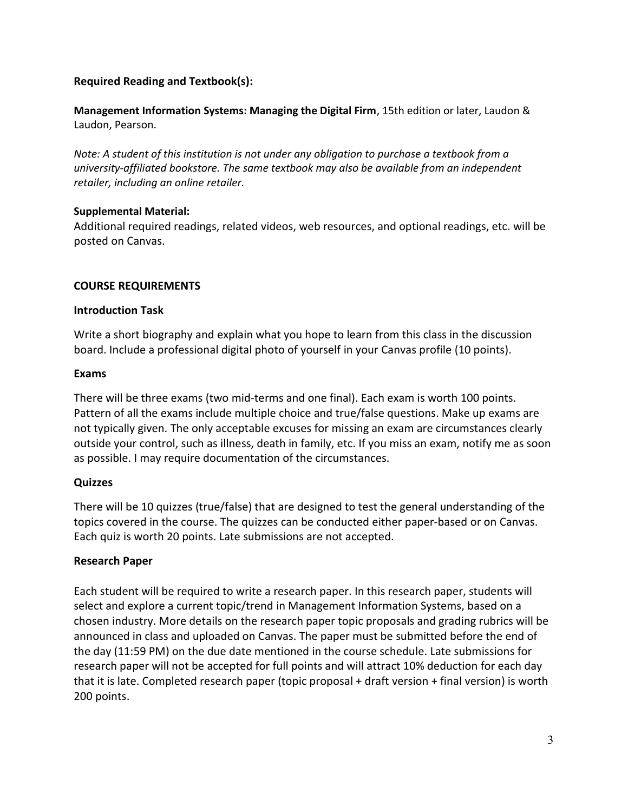## Required Reading and Textbook(s):

Management Information Systems: Managing the Digital Firm, 15th edition or later, Laudon & Laudon, Pearson.

Note: A student of this institution is not under any obligation to purchase a textbook from a university-affiliated bookstore. The same textbook may also be available from an independent retailer, including an online retailer.

### Supplemental Material:

Additional required readings, related videos, web resources, and optional readings, etc. will be posted on Canvas.

### COURSE REQUIREMENTS

### Introduction Task

Write a short biography and explain what you hope to learn from this class in the discussion board. Include a professional digital photo of yourself in your Canvas profile (10 points).

### Exams

There will be three exams (two mid-terms and one final). Each exam is worth 100 points. Pattern of all the exams include multiple choice and true/false questions. Make up exams are not typically given. The only acceptable excuses for missing an exam are circumstances clearly outside your control, such as illness, death in family, etc. If you miss an exam, notify me as soon as possible. I may require documentation of the circumstances.

### **Quizzes**

There will be 10 quizzes (true/false) that are designed to test the general understanding of the topics covered in the course. The quizzes can be conducted either paper-based or on Canvas. Each quiz is worth 20 points. Late submissions are not accepted.

### Research Paper

Each student will be required to write a research paper. In this research paper, students will select and explore a current topic/trend in Management Information Systems, based on a chosen industry. More details on the research paper topic proposals and grading rubrics will be announced in class and uploaded on Canvas. The paper must be submitted before the end of the day (11:59 PM) on the due date mentioned in the course schedule. Late submissions for research paper will not be accepted for full points and will attract 10% deduction for each day that it is late. Completed research paper (topic proposal + draft version + final version) is worth 200 points.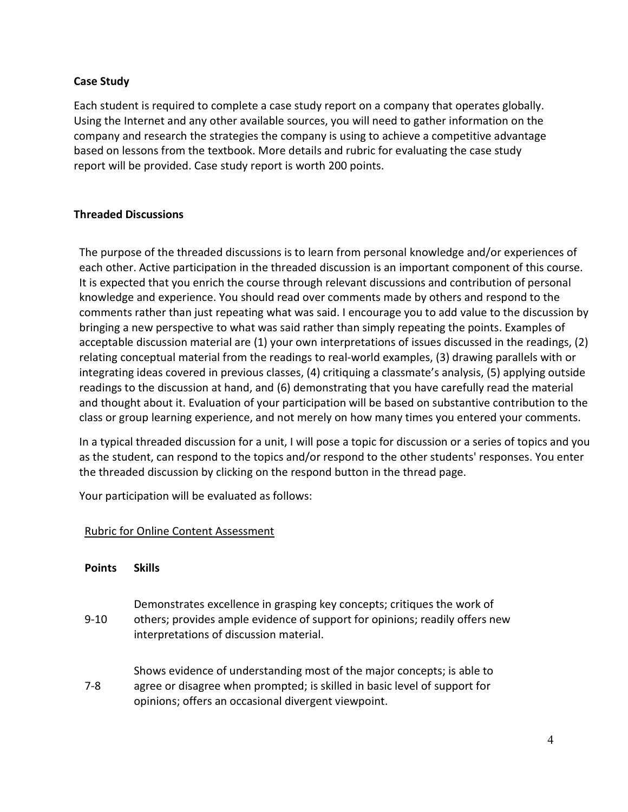## Case Study

Each student is required to complete a case study report on a company that operates globally. Using the Internet and any other available sources, you will need to gather information on the company and research the strategies the company is using to achieve a competitive advantage based on lessons from the textbook. More details and rubric for evaluating the case study report will be provided. Case study report is worth 200 points.

## Threaded Discussions

The purpose of the threaded discussions is to learn from personal knowledge and/or experiences of each other. Active participation in the threaded discussion is an important component of this course. It is expected that you enrich the course through relevant discussions and contribution of personal knowledge and experience. You should read over comments made by others and respond to the comments rather than just repeating what was said. I encourage you to add value to the discussion by bringing a new perspective to what was said rather than simply repeating the points. Examples of acceptable discussion material are (1) your own interpretations of issues discussed in the readings, (2) relating conceptual material from the readings to real-world examples, (3) drawing parallels with or integrating ideas covered in previous classes, (4) critiquing a classmate's analysis, (5) applying outside readings to the discussion at hand, and (6) demonstrating that you have carefully read the material and thought about it. Evaluation of your participation will be based on substantive contribution to the class or group learning experience, and not merely on how many times you entered your comments.

In a typical threaded discussion for a unit, I will pose a topic for discussion or a series of topics and you as the student, can respond to the topics and/or respond to the other students' responses. You enter the threaded discussion by clicking on the respond button in the thread page.

Your participation will be evaluated as follows:

### Rubric for Online Content Assessment

- 9-10 Demonstrates excellence in grasping key concepts; critiques the work of others; provides ample evidence of support for opinions; readily offers new interpretations of discussion material.
- 7-8 Shows evidence of understanding most of the major concepts; is able to agree or disagree when prompted; is skilled in basic level of support for opinions; offers an occasional divergent viewpoint.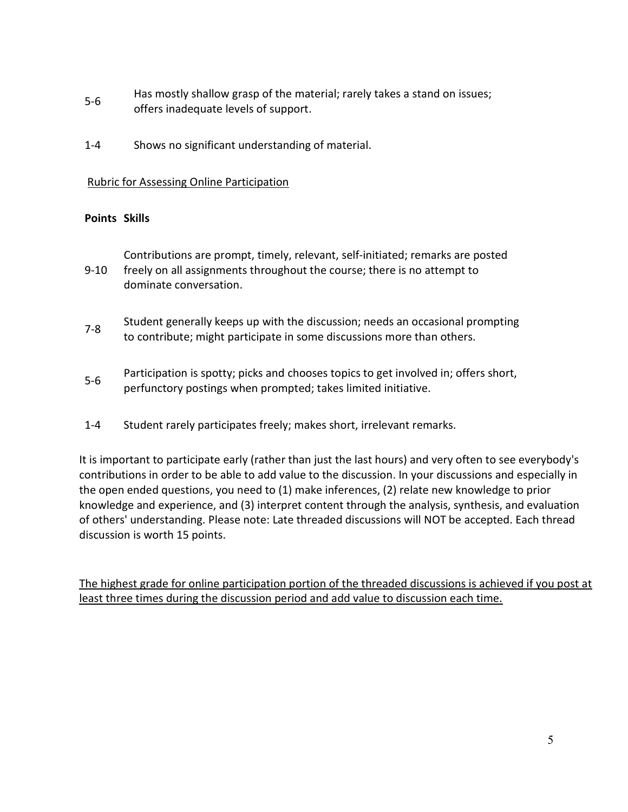- 5-6 Has mostly shallow grasp of the material; rarely takes a stand on issues; offers inadequate levels of support.
- 1-4 Shows no significant understanding of material.

## Rubric for Assessing Online Participation

## Points Skills

9-10 Contributions are prompt, timely, relevant, self-initiated; remarks are posted freely on all assignments throughout the course; there is no attempt to dominate conversation.

- 51.8 Student generally keeps up with the discussion; needs an occasional prompting to contribute; might participate in some discussions more than others.
- 5-6 Participation is spotty; picks and chooses topics to get involved in; offers short, perfunctory postings when prompted; takes limited initiative.
- 1-4 Student rarely participates freely; makes short, irrelevant remarks.

It is important to participate early (rather than just the last hours) and very often to see everybody's contributions in order to be able to add value to the discussion. In your discussions and especially in the open ended questions, you need to (1) make inferences, (2) relate new knowledge to prior knowledge and experience, and (3) interpret content through the analysis, synthesis, and evaluation of others' understanding. Please note: Late threaded discussions will NOT be accepted. Each thread discussion is worth 15 points.

The highest grade for online participation portion of the threaded discussions is achieved if you post at least three times during the discussion period and add value to discussion each time.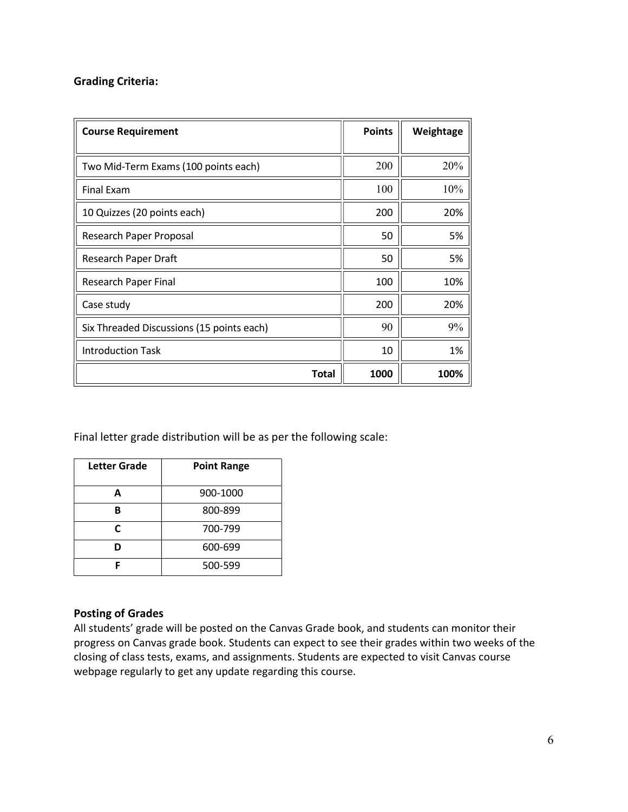### Grading Criteria:

| <b>Course Requirement</b>                 | <b>Points</b> | Weightage |
|-------------------------------------------|---------------|-----------|
|                                           |               |           |
| Two Mid-Term Exams (100 points each)      | 200           | 20%       |
| <b>Final Exam</b>                         | 100           | 10%       |
| 10 Quizzes (20 points each)               | 200           | 20%       |
| Research Paper Proposal                   | 50            | 5%        |
| Research Paper Draft                      | 50            | 5%        |
| Research Paper Final                      | 100           | 10%       |
| Case study                                | 200           | 20%       |
| Six Threaded Discussions (15 points each) | 90            | 9%        |
| <b>Introduction Task</b>                  | 10            | 1%        |
| <b>Total</b>                              | 1000          | 100%      |

Final letter grade distribution will be as per the following scale:

| Letter Grade | <b>Point Range</b> |
|--------------|--------------------|
| А            | 900-1000           |
| R            | 800-899            |
| C            | 700-799            |
| n            | 600-699            |
|              | 500-599            |

### Posting of Grades

All students' grade will be posted on the Canvas Grade book, and students can monitor their progress on Canvas grade book. Students can expect to see their grades within two weeks of the closing of class tests, exams, and assignments. Students are expected to visit Canvas course webpage regularly to get any update regarding this course.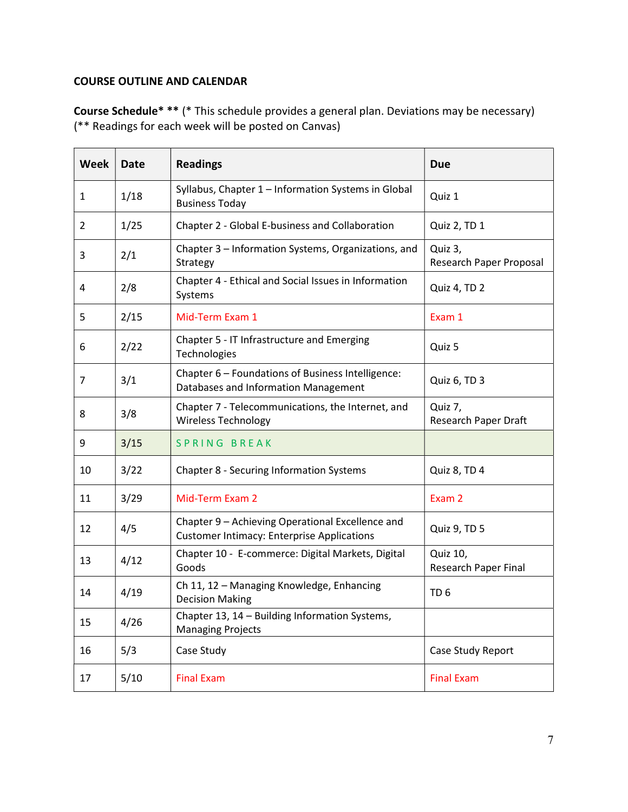# COURSE OUTLINE AND CALENDAR

Course Schedule\* \*\* (\* This schedule provides a general plan. Deviations may be necessary) (\*\* Readings for each week will be posted on Canvas)

| <b>Week</b> | <b>Date</b> | <b>Readings</b>                                                                                       | <b>Due</b>                         |
|-------------|-------------|-------------------------------------------------------------------------------------------------------|------------------------------------|
| 1           | 1/18        | Syllabus, Chapter 1 - Information Systems in Global<br><b>Business Today</b>                          | Quiz 1                             |
| 2           | 1/25        | Chapter 2 - Global E-business and Collaboration                                                       | Quiz 2, TD 1                       |
| 3           | 2/1         | Chapter 3 - Information Systems, Organizations, and<br>Strategy                                       | Quiz 3,<br>Research Paper Proposal |
| 4           | 2/8         | Chapter 4 - Ethical and Social Issues in Information<br>Systems                                       | Quiz 4, TD 2                       |
| 5           | 2/15        | Mid-Term Exam 1                                                                                       | Exam 1                             |
| 6           | 2/22        | Chapter 5 - IT Infrastructure and Emerging<br>Technologies                                            | Quiz 5                             |
| 7           | 3/1         | Chapter 6 - Foundations of Business Intelligence:<br>Databases and Information Management             | Quiz 6, TD 3                       |
| 8           | 3/8         | Chapter 7 - Telecommunications, the Internet, and<br><b>Wireless Technology</b>                       | Quiz 7,<br>Research Paper Draft    |
| 9           | 3/15        | <b>SPRING BREAK</b>                                                                                   |                                    |
| 10          | 3/22        | Chapter 8 - Securing Information Systems                                                              | Quiz 8, TD 4                       |
| 11          | 3/29        | Mid-Term Exam 2                                                                                       | Exam 2                             |
| 12          | 4/5         | Chapter 9 - Achieving Operational Excellence and<br><b>Customer Intimacy: Enterprise Applications</b> | Quiz 9, TD 5                       |
| 13          | 4/12        | Chapter 10 - E-commerce: Digital Markets, Digital<br>Goods                                            | Quiz 10,<br>Research Paper Final   |
| 14          | 4/19        | Ch 11, 12 - Managing Knowledge, Enhancing<br><b>Decision Making</b>                                   | TD <sub>6</sub>                    |
| 15          | 4/26        | Chapter 13, 14 - Building Information Systems,<br><b>Managing Projects</b>                            |                                    |
| 16          | 5/3         | Case Study                                                                                            | Case Study Report                  |
| 17          | 5/10        | <b>Final Exam</b>                                                                                     | <b>Final Exam</b>                  |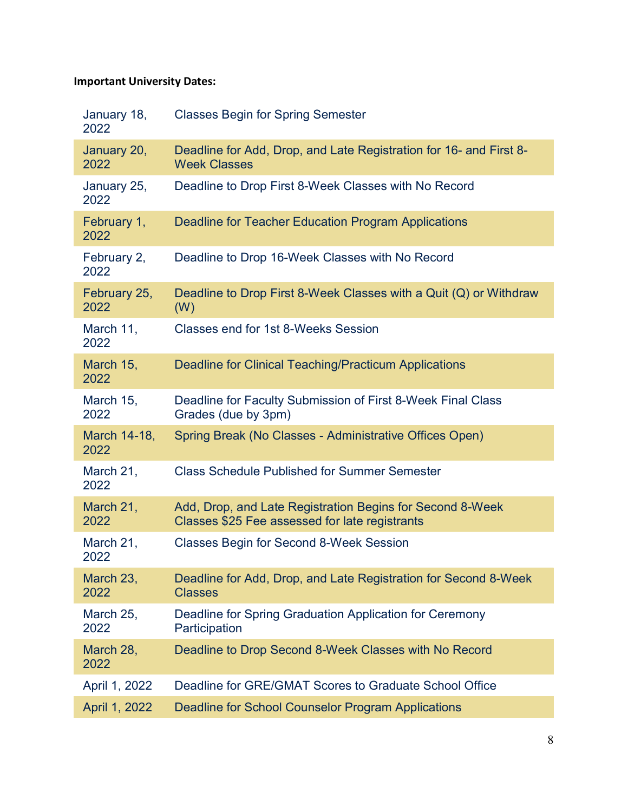# Important University Dates:

| January 18,<br>2022  | <b>Classes Begin for Spring Semester</b>                                                                    |
|----------------------|-------------------------------------------------------------------------------------------------------------|
| January 20,<br>2022  | Deadline for Add, Drop, and Late Registration for 16- and First 8-<br><b>Week Classes</b>                   |
| January 25,<br>2022  | Deadline to Drop First 8-Week Classes with No Record                                                        |
| February 1,<br>2022  | Deadline for Teacher Education Program Applications                                                         |
| February 2,<br>2022  | Deadline to Drop 16-Week Classes with No Record                                                             |
| February 25,<br>2022 | Deadline to Drop First 8-Week Classes with a Quit (Q) or Withdraw<br>(W)                                    |
| March 11,<br>2022    | Classes end for 1st 8-Weeks Session                                                                         |
| March 15,<br>2022    | <b>Deadline for Clinical Teaching/Practicum Applications</b>                                                |
| March 15,<br>2022    | Deadline for Faculty Submission of First 8-Week Final Class<br>Grades (due by 3pm)                          |
| March 14-18,<br>2022 | Spring Break (No Classes - Administrative Offices Open)                                                     |
| March 21,<br>2022    | <b>Class Schedule Published for Summer Semester</b>                                                         |
| March 21,<br>2022    | Add, Drop, and Late Registration Begins for Second 8-Week<br>Classes \$25 Fee assessed for late registrants |
| March 21,<br>2022    | <b>Classes Begin for Second 8-Week Session</b>                                                              |
| March 23,<br>2022    | Deadline for Add, Drop, and Late Registration for Second 8-Week<br><b>Classes</b>                           |
| March 25,<br>2022    | Deadline for Spring Graduation Application for Ceremony<br>Participation                                    |
| March 28,<br>2022    | Deadline to Drop Second 8-Week Classes with No Record                                                       |
| April 1, 2022        | Deadline for GRE/GMAT Scores to Graduate School Office                                                      |
| April 1, 2022        | <b>Deadline for School Counselor Program Applications</b>                                                   |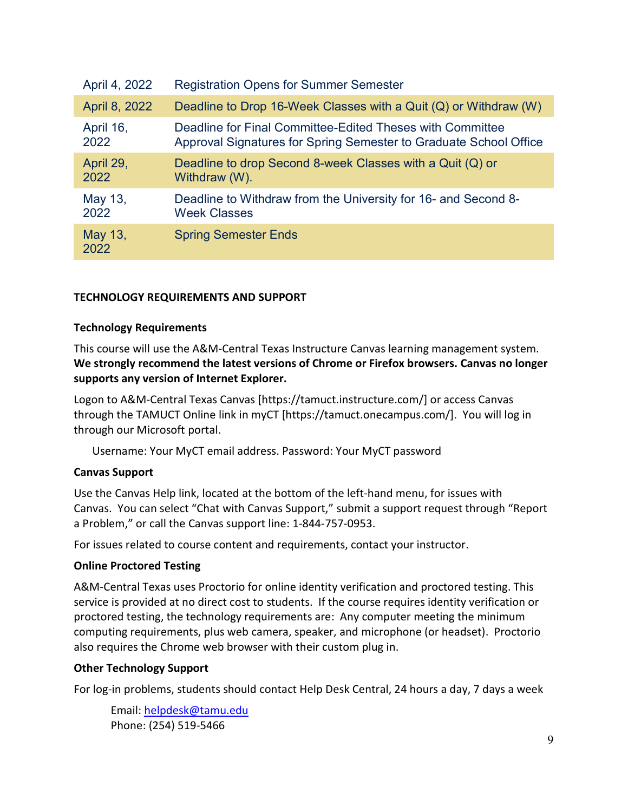| April 4, 2022   | <b>Registration Opens for Summer Semester</b>                        |
|-----------------|----------------------------------------------------------------------|
| April 8, 2022   | Deadline to Drop 16-Week Classes with a Quit $(Q)$ or Withdraw $(W)$ |
| April 16,       | Deadline for Final Committee-Edited Theses with Committee            |
| 2022            | Approval Signatures for Spring Semester to Graduate School Office    |
| April 29,       | Deadline to drop Second 8-week Classes with a Quit (Q) or            |
| 2022            | Withdraw (W).                                                        |
| May 13,         | Deadline to Withdraw from the University for 16- and Second 8-       |
| 2022            | <b>Week Classes</b>                                                  |
| May 13,<br>2022 | <b>Spring Semester Ends</b>                                          |

### TECHNOLOGY REQUIREMENTS AND SUPPORT

### Technology Requirements

This course will use the A&M-Central Texas Instructure Canvas learning management system. We strongly recommend the latest versions of Chrome or Firefox browsers. Canvas no longer supports any version of Internet Explorer.

Logon to A&M-Central Texas Canvas [https://tamuct.instructure.com/] or access Canvas through the TAMUCT Online link in myCT [https://tamuct.onecampus.com/]. You will log in through our Microsoft portal.

Username: Your MyCT email address. Password: Your MyCT password

### Canvas Support

Use the Canvas Help link, located at the bottom of the left-hand menu, for issues with Canvas. You can select "Chat with Canvas Support," submit a support request through "Report a Problem," or call the Canvas support line: 1-844-757-0953.

For issues related to course content and requirements, contact your instructor.

### Online Proctored Testing

A&M-Central Texas uses Proctorio for online identity verification and proctored testing. This service is provided at no direct cost to students. If the course requires identity verification or proctored testing, the technology requirements are: Any computer meeting the minimum computing requirements, plus web camera, speaker, and microphone (or headset). Proctorio also requires the Chrome web browser with their custom plug in.

### Other Technology Support

For log-in problems, students should contact Help Desk Central, 24 hours a day, 7 days a week

Email: helpdesk@tamu.edu Phone: (254) 519-5466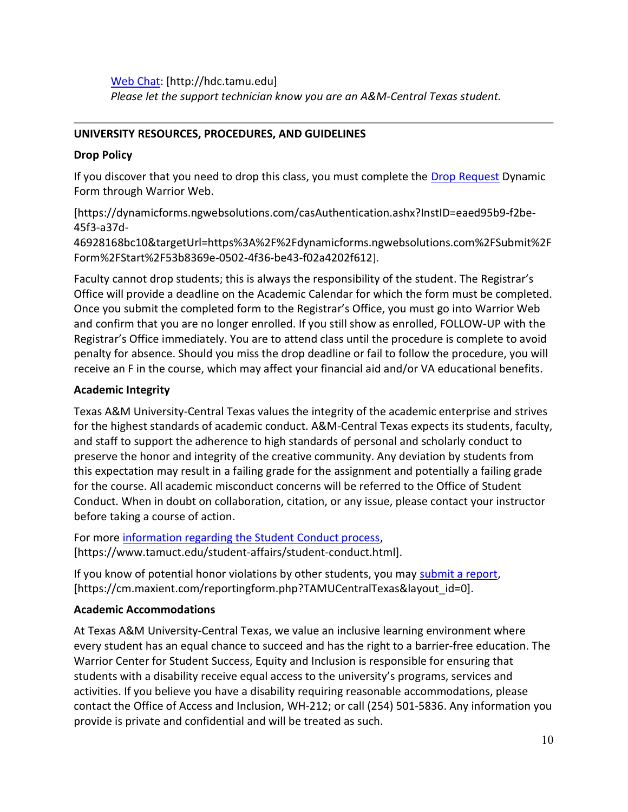Web Chat: [http://hdc.tamu.edu] Please let the support technician know you are an A&M-Central Texas student.

## UNIVERSITY RESOURCES, PROCEDURES, AND GUIDELINES

## Drop Policy

If you discover that you need to drop this class, you must complete the **Drop Request** Dynamic Form through Warrior Web.

[https://dynamicforms.ngwebsolutions.com/casAuthentication.ashx?InstID=eaed95b9-f2be-45f3-a37d-

46928168bc10&targetUrl=https%3A%2F%2Fdynamicforms.ngwebsolutions.com%2FSubmit%2F Form%2FStart%2F53b8369e-0502-4f36-be43-f02a4202f612].

Faculty cannot drop students; this is always the responsibility of the student. The Registrar's Office will provide a deadline on the Academic Calendar for which the form must be completed. Once you submit the completed form to the Registrar's Office, you must go into Warrior Web and confirm that you are no longer enrolled. If you still show as enrolled, FOLLOW-UP with the Registrar's Office immediately. You are to attend class until the procedure is complete to avoid penalty for absence. Should you miss the drop deadline or fail to follow the procedure, you will receive an F in the course, which may affect your financial aid and/or VA educational benefits.

## Academic Integrity

Texas A&M University-Central Texas values the integrity of the academic enterprise and strives for the highest standards of academic conduct. A&M-Central Texas expects its students, faculty, and staff to support the adherence to high standards of personal and scholarly conduct to preserve the honor and integrity of the creative community. Any deviation by students from this expectation may result in a failing grade for the assignment and potentially a failing grade for the course. All academic misconduct concerns will be referred to the Office of Student Conduct. When in doubt on collaboration, citation, or any issue, please contact your instructor before taking a course of action.

For more information regarding the Student Conduct process, [https://www.tamuct.edu/student-affairs/student-conduct.html].

If you know of potential honor violations by other students, you may submit a report, [https://cm.maxient.com/reportingform.php?TAMUCentralTexas&layout\_id=0].

# Academic Accommodations

At Texas A&M University-Central Texas, we value an inclusive learning environment where every student has an equal chance to succeed and has the right to a barrier-free education. The Warrior Center for Student Success, Equity and Inclusion is responsible for ensuring that students with a disability receive equal access to the university's programs, services and activities. If you believe you have a disability requiring reasonable accommodations, please contact the Office of Access and Inclusion, WH-212; or call (254) 501-5836. Any information you provide is private and confidential and will be treated as such.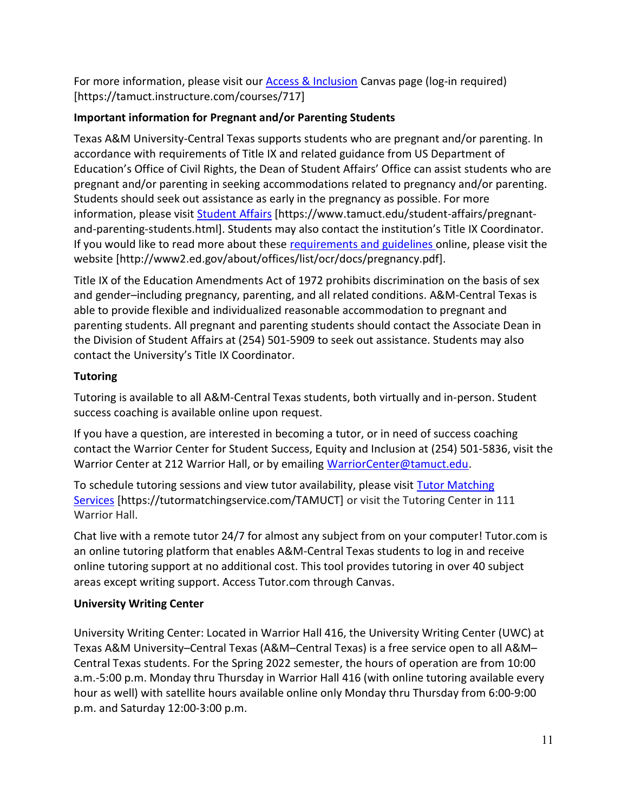For more information, please visit our Access & Inclusion Canvas page (log-in required) [https://tamuct.instructure.com/courses/717]

# Important information for Pregnant and/or Parenting Students

Texas A&M University-Central Texas supports students who are pregnant and/or parenting. In accordance with requirements of Title IX and related guidance from US Department of Education's Office of Civil Rights, the Dean of Student Affairs' Office can assist students who are pregnant and/or parenting in seeking accommodations related to pregnancy and/or parenting. Students should seek out assistance as early in the pregnancy as possible. For more information, please visit Student Affairs [https://www.tamuct.edu/student-affairs/pregnantand-parenting-students.html]. Students may also contact the institution's Title IX Coordinator. If you would like to read more about these requirements and guidelines online, please visit the website [http://www2.ed.gov/about/offices/list/ocr/docs/pregnancy.pdf].

Title IX of the Education Amendments Act of 1972 prohibits discrimination on the basis of sex and gender–including pregnancy, parenting, and all related conditions. A&M-Central Texas is able to provide flexible and individualized reasonable accommodation to pregnant and parenting students. All pregnant and parenting students should contact the Associate Dean in the Division of Student Affairs at (254) 501-5909 to seek out assistance. Students may also contact the University's Title IX Coordinator.

# **Tutoring**

Tutoring is available to all A&M-Central Texas students, both virtually and in-person. Student success coaching is available online upon request.

If you have a question, are interested in becoming a tutor, or in need of success coaching contact the Warrior Center for Student Success, Equity and Inclusion at (254) 501-5836, visit the Warrior Center at 212 Warrior Hall, or by emailing WarriorCenter@tamuct.edu.

To schedule tutoring sessions and view tutor availability, please visit Tutor Matching Services [https://tutormatchingservice.com/TAMUCT] or visit the Tutoring Center in 111 Warrior Hall.

Chat live with a remote tutor 24/7 for almost any subject from on your computer! Tutor.com is an online tutoring platform that enables A&M-Central Texas students to log in and receive online tutoring support at no additional cost. This tool provides tutoring in over 40 subject areas except writing support. Access Tutor.com through Canvas.

# University Writing Center

University Writing Center: Located in Warrior Hall 416, the University Writing Center (UWC) at Texas A&M University–Central Texas (A&M–Central Texas) is a free service open to all A&M– Central Texas students. For the Spring 2022 semester, the hours of operation are from 10:00 a.m.-5:00 p.m. Monday thru Thursday in Warrior Hall 416 (with online tutoring available every hour as well) with satellite hours available online only Monday thru Thursday from 6:00-9:00 p.m. and Saturday 12:00-3:00 p.m.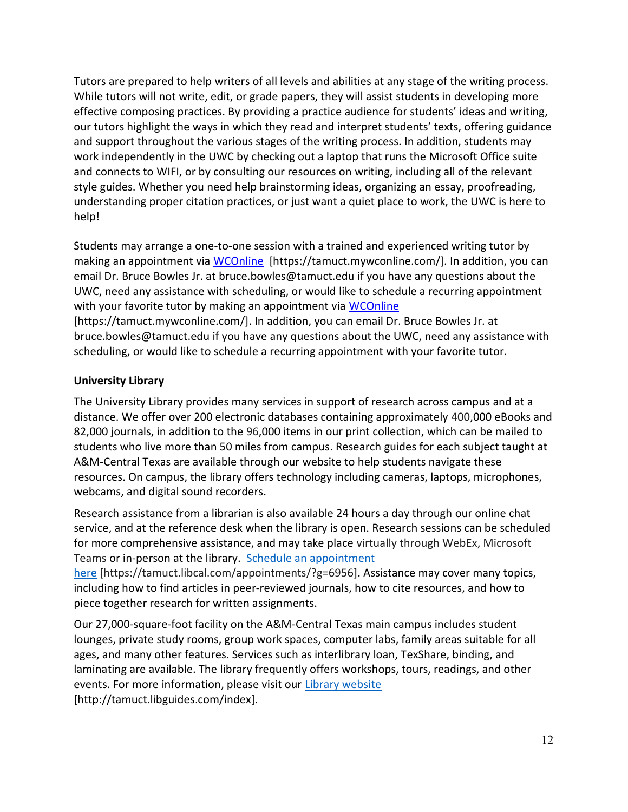Tutors are prepared to help writers of all levels and abilities at any stage of the writing process. While tutors will not write, edit, or grade papers, they will assist students in developing more effective composing practices. By providing a practice audience for students' ideas and writing, our tutors highlight the ways in which they read and interpret students' texts, offering guidance and support throughout the various stages of the writing process. In addition, students may work independently in the UWC by checking out a laptop that runs the Microsoft Office suite and connects to WIFI, or by consulting our resources on writing, including all of the relevant style guides. Whether you need help brainstorming ideas, organizing an essay, proofreading, understanding proper citation practices, or just want a quiet place to work, the UWC is here to help!

Students may arrange a one-to-one session with a trained and experienced writing tutor by making an appointment via WCOnline [https://tamuct.mywconline.com/]. In addition, you can email Dr. Bruce Bowles Jr. at bruce.bowles@tamuct.edu if you have any questions about the UWC, need any assistance with scheduling, or would like to schedule a recurring appointment with your favorite tutor by making an appointment via WCOnline [https://tamuct.mywconline.com/]. In addition, you can email Dr. Bruce Bowles Jr. at bruce.bowles@tamuct.edu if you have any questions about the UWC, need any assistance with scheduling, or would like to schedule a recurring appointment with your favorite tutor.

# University Library

The University Library provides many services in support of research across campus and at a distance. We offer over 200 electronic databases containing approximately 400,000 eBooks and 82,000 journals, in addition to the 96,000 items in our print collection, which can be mailed to students who live more than 50 miles from campus. Research guides for each subject taught at A&M-Central Texas are available through our website to help students navigate these resources. On campus, the library offers technology including cameras, laptops, microphones, webcams, and digital sound recorders.

Research assistance from a librarian is also available 24 hours a day through our online chat service, and at the reference desk when the library is open. Research sessions can be scheduled for more comprehensive assistance, and may take place virtually through WebEx, Microsoft Teams or in-person at the library. Schedule an appointment

here [https://tamuct.libcal.com/appointments/?g=6956]. Assistance may cover many topics, including how to find articles in peer-reviewed journals, how to cite resources, and how to piece together research for written assignments.

Our 27,000-square-foot facility on the A&M-Central Texas main campus includes student lounges, private study rooms, group work spaces, computer labs, family areas suitable for all ages, and many other features. Services such as interlibrary loan, TexShare, binding, and laminating are available. The library frequently offers workshops, tours, readings, and other events. For more information, please visit our Library website [http://tamuct.libguides.com/index].